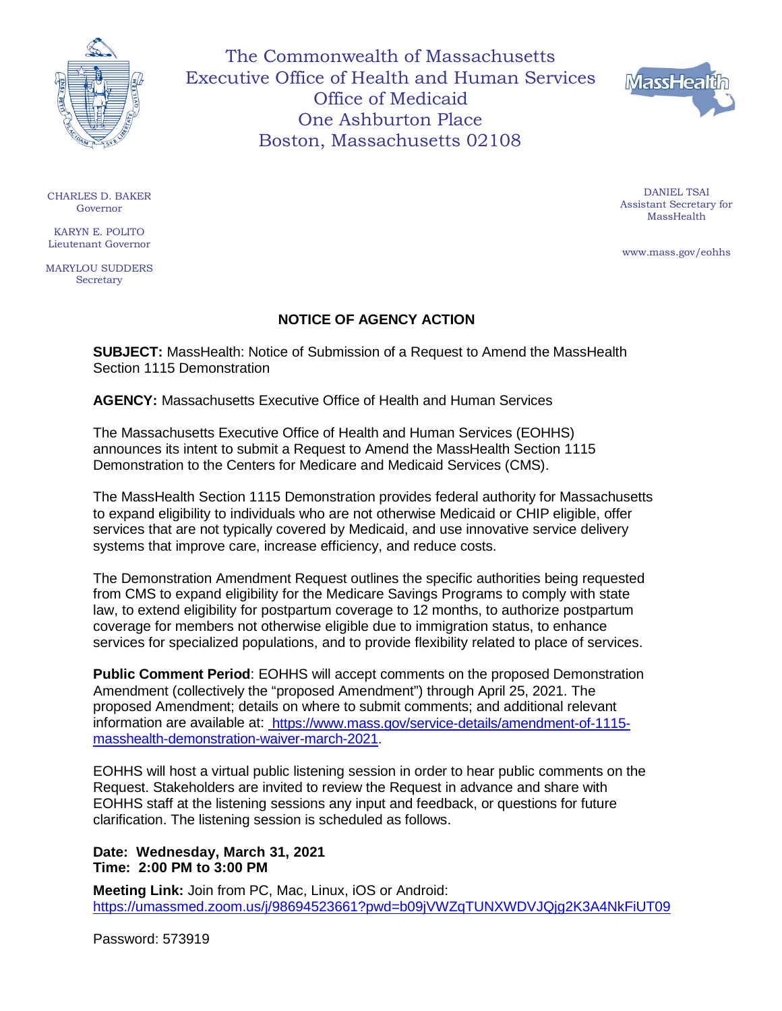

The Commonwealth of Massachusetts Executive Office of Health and Human Services Office of Medicaid One Ashburton Place Boston, Massachusetts 02108



CHARLES D. BAKER Governor

KARYN E. POLITO Lieutenant Governor

MARYLOU SUDDERS **Secretary** 

## **NOTICE OF AGENCY ACTION**

**SUBJECT:** MassHealth: Notice of Submission of a Request to Amend the MassHealth Section 1115 Demonstration

**AGENCY:** Massachusetts Executive Office of Health and Human Services

The Massachusetts Executive Office of Health and Human Services (EOHHS) announces its intent to submit a Request to Amend the MassHealth Section 1115 Demonstration to the Centers for Medicare and Medicaid Services (CMS).

The MassHealth Section 1115 Demonstration provides federal authority for Massachusetts to expand eligibility to individuals who are not otherwise Medicaid or CHIP eligible, offer services that are not typically covered by Medicaid, and use innovative service delivery systems that improve care, increase efficiency, and reduce costs.

The Demonstration Amendment Request outlines the specific authorities being requested from CMS to expand eligibility for the Medicare Savings Programs to comply with state law, to extend eligibility for postpartum coverage to 12 months, to authorize postpartum coverage for members not otherwise eligible due to immigration status, to enhance services for specialized populations, and to provide flexibility related to place of services.

**Public Comment Period**: EOHHS will accept comments on the proposed Demonstration Amendment (collectively the "proposed Amendment") through April 25, 2021. The proposed Amendment; details on where to submit comments; and additional relevant information are available at: [https://www.mass.gov/service-details/amendment-of-1115](https://edit.mass.gov/service-details/amendment-of-1115-masshealth-demonstration-waiver-march-2021) [masshealth-demonstration-waiver-march-2021.](https://edit.mass.gov/service-details/amendment-of-1115-masshealth-demonstration-waiver-march-2021)

EOHHS will host a virtual public listening session in order to hear public comments on the Request. Stakeholders are invited to review the Request in advance and share with EOHHS staff at the listening sessions any input and feedback, or questions for future clarification. The listening session is scheduled as follows.

## **Date: Wednesday, March 31, 2021 Time: 2:00 PM to 3:00 PM**

**Meeting Link:** Join from PC, Mac, Linux, iOS or Android: <https://umassmed.zoom.us/j/98694523661?pwd=b09jVWZqTUNXWDVJQjg2K3A4NkFiUT09>

Password: 573919

DANIEL TSAI Assistant Secretary for MassHealth

[www.mass.gov/eohhs](http://www.mass.gov/eohhs)